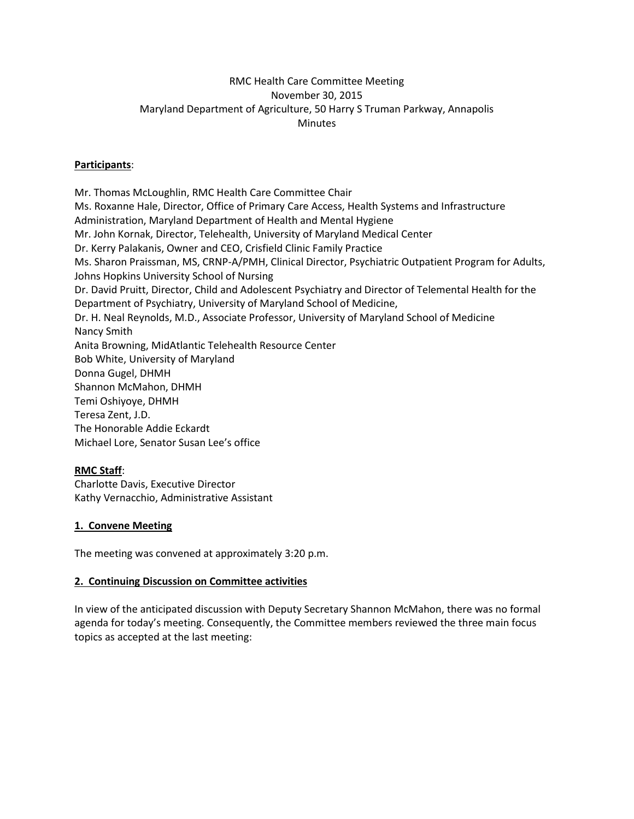## RMC Health Care Committee Meeting November 30, 2015 Maryland Department of Agriculture, 50 Harry S Truman Parkway, Annapolis Minutes

### **Participants**:

Mr. Thomas McLoughlin, RMC Health Care Committee Chair Ms. Roxanne Hale, Director, Office of Primary Care Access, Health Systems and Infrastructure Administration, Maryland Department of Health and Mental Hygiene Mr. John Kornak, Director, Telehealth, University of Maryland Medical Center Dr. Kerry Palakanis, Owner and CEO, Crisfield Clinic Family Practice Ms. Sharon Praissman, MS, CRNP-A/PMH, Clinical Director, Psychiatric Outpatient Program for Adults, Johns Hopkins University School of Nursing Dr. David Pruitt, Director, Child and Adolescent Psychiatry and Director of Telemental Health for the Department of Psychiatry, University of Maryland School of Medicine, Dr. H. Neal Reynolds, M.D., Associate Professor, University of Maryland School of Medicine Nancy Smith Anita Browning, MidAtlantic Telehealth Resource Center Bob White, University of Maryland Donna Gugel, DHMH Shannon McMahon, DHMH Temi Oshiyoye, DHMH Teresa Zent, J.D. The Honorable Addie Eckardt Michael Lore, Senator Susan Lee's office

#### **RMC Staff**:

Charlotte Davis, Executive Director Kathy Vernacchio, Administrative Assistant

#### **1. Convene Meeting**

The meeting was convened at approximately 3:20 p.m.

#### **2. Continuing Discussion on Committee activities**

In view of the anticipated discussion with Deputy Secretary Shannon McMahon, there was no formal agenda for today's meeting. Consequently, the Committee members reviewed the three main focus topics as accepted at the last meeting: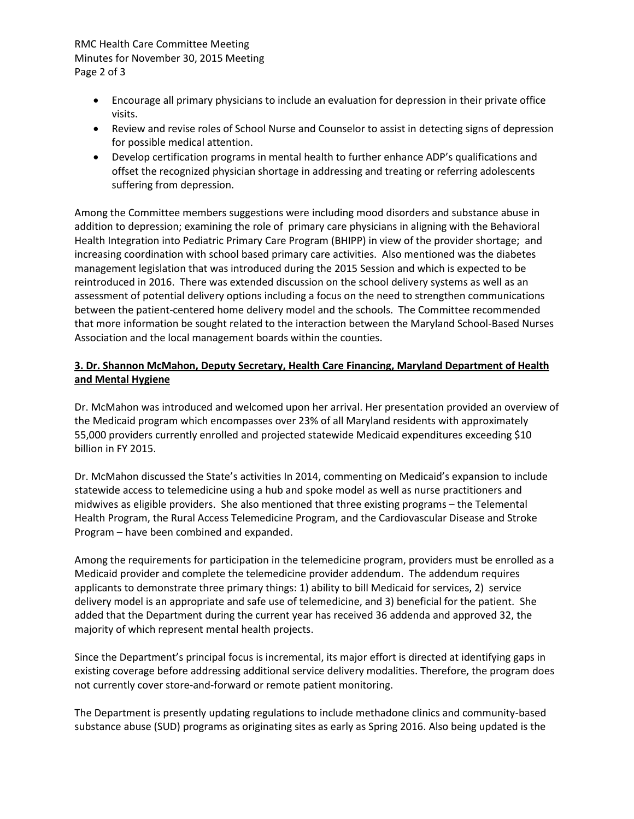## RMC Health Care Committee Meeting Minutes for November 30, 2015 Meeting Page 2 of 3

- Encourage all primary physicians to include an evaluation for depression in their private office visits.
- Review and revise roles of School Nurse and Counselor to assist in detecting signs of depression for possible medical attention.
- Develop certification programs in mental health to further enhance ADP's qualifications and offset the recognized physician shortage in addressing and treating or referring adolescents suffering from depression.

Among the Committee members suggestions were including mood disorders and substance abuse in addition to depression; examining the role of primary care physicians in aligning with the Behavioral Health Integration into Pediatric Primary Care Program (BHIPP) in view of the provider shortage; and increasing coordination with school based primary care activities. Also mentioned was the diabetes management legislation that was introduced during the 2015 Session and which is expected to be reintroduced in 2016. There was extended discussion on the school delivery systems as well as an assessment of potential delivery options including a focus on the need to strengthen communications between the patient-centered home delivery model and the schools. The Committee recommended that more information be sought related to the interaction between the Maryland School-Based Nurses Association and the local management boards within the counties.

# **3. Dr. Shannon McMahon, Deputy Secretary, Health Care Financing, Maryland Department of Health and Mental Hygiene**

Dr. McMahon was introduced and welcomed upon her arrival. Her presentation provided an overview of the Medicaid program which encompasses over 23% of all Maryland residents with approximately 55,000 providers currently enrolled and projected statewide Medicaid expenditures exceeding \$10 billion in FY 2015.

Dr. McMahon discussed the State's activities In 2014, commenting on Medicaid's expansion to include statewide access to telemedicine using a hub and spoke model as well as nurse practitioners and midwives as eligible providers. She also mentioned that three existing programs – the Telemental Health Program, the Rural Access Telemedicine Program, and the Cardiovascular Disease and Stroke Program – have been combined and expanded.

Among the requirements for participation in the telemedicine program, providers must be enrolled as a Medicaid provider and complete the telemedicine provider addendum. The addendum requires applicants to demonstrate three primary things: 1) ability to bill Medicaid for services, 2) service delivery model is an appropriate and safe use of telemedicine, and 3) beneficial for the patient. She added that the Department during the current year has received 36 addenda and approved 32, the majority of which represent mental health projects.

Since the Department's principal focus is incremental, its major effort is directed at identifying gaps in existing coverage before addressing additional service delivery modalities. Therefore, the program does not currently cover store-and-forward or remote patient monitoring.

The Department is presently updating regulations to include methadone clinics and community-based substance abuse (SUD) programs as originating sites as early as Spring 2016. Also being updated is the